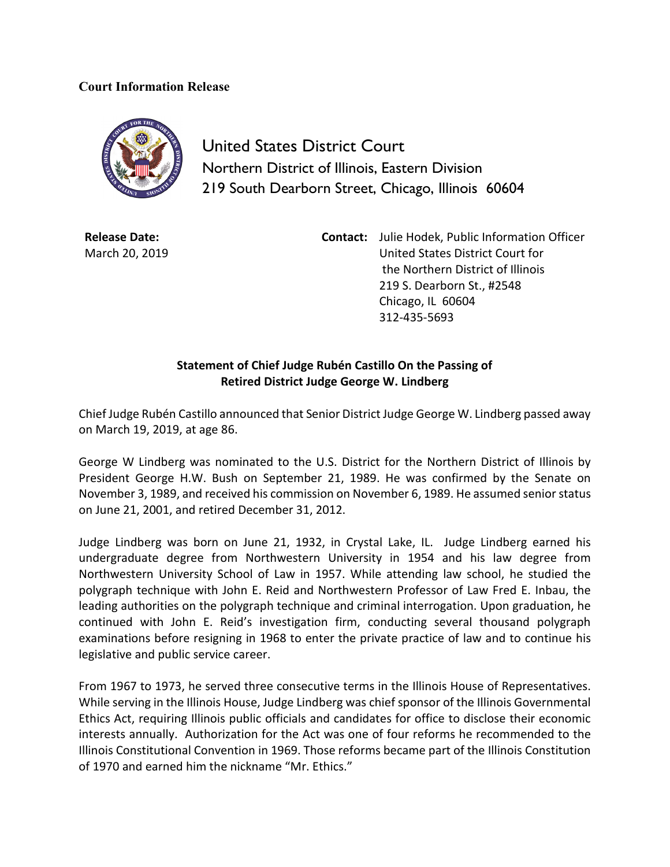## **Court Information Release**



United States District Court Northern District of Illinois, Eastern Division 219 South Dearborn Street, Chicago, Illinois 60604

**Release Date:** March 20, 2019 **Contact:** Julie Hodek, Public Information Officer United States District Court for the Northern District of Illinois 219 S. Dearborn St., #2548 Chicago, IL 60604 312-435-5693

## **Statement of Chief Judge Rubén Castillo On the Passing of Retired District Judge George W. Lindberg**

Chief Judge Rubén Castillo announced that Senior District Judge George W. Lindberg passed away on March 19, 2019, at age 86.

George W Lindberg was nominated to the U.S. District for the Northern District of Illinois by President George H.W. Bush on September 21, 1989. He was confirmed by the Senate on November 3, 1989, and received his commission on November 6, 1989. He assumed senior status on June 21, 2001, and retired December 31, 2012.

Judge Lindberg was born on June 21, 1932, in Crystal Lake, IL. Judge Lindberg earned his undergraduate degree from Northwestern University in 1954 and his law degree from Northwestern University School of Law in 1957. While attending law school, he studied the polygraph technique with John E. Reid and Northwestern Professor of Law Fred E. Inbau, the leading authorities on the polygraph technique and criminal interrogation. Upon graduation, he continued with John E. Reid's investigation firm, conducting several thousand polygraph examinations before resigning in 1968 to enter the private practice of law and to continue his legislative and public service career.

From 1967 to 1973, he served three consecutive terms in the Illinois House of Representatives. While serving in the Illinois House, Judge Lindberg was chief sponsor of the Illinois Governmental Ethics Act, requiring Illinois public officials and candidates for office to disclose their economic interests annually. Authorization for the Act was one of four reforms he recommended to the Illinois Constitutional Convention in 1969. Those reforms became part of the Illinois Constitution of 1970 and earned him the nickname "Mr. Ethics."